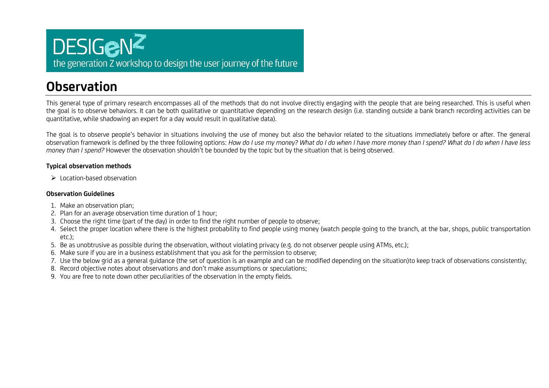### **DESIGENZ** the generation Z workshop to design the user journey of the future

### **Observation**

This general type of primary research encompasses all of the methods that do not involve directly engaging with the people that are being researched. This is useful when the goal is to observe behaviors. It can be both qualitative or quantitative depending on the research design (i.e. standing outside a bank branch recording activities can be quantitative, while shadowing an expert for a day would result in qualitative data).

The goal is to observe people's behavior in situations involving the use of money but also the behavior related to the situations immediately before or after. The general observation framework is defined by the three following options: *How do I use my money*? *What do I do when I have more money than I spend? What do I do when I have less money than I spend?* However the observation shouldn't be bounded by the topic but by the situation that is being observed.

#### **Typical observation methods**

 $\triangleright$  Location-based observation

#### **Observation Guidelines**

- 1. Make an observation plan;
- 2. Plan for an average observation time duration of 1 hour;
- 3. Choose the right time (part of the day) in order to find the right number of people to observe;
- 4. Select the proper location where there is the highest probability to find people using money (watch people going to the branch, at the bar, shops, public transportation etc.);
- 5. Be as unobtrusive as possible during the observation, without violating privacy (e.g. do not observer people using ATMs, etc.);
- 6. Make sure if you are in a business establishment that you ask for the permission to observe;
- 7. Use the below grid as a general guidance (the set of question is an example and can be modified depending on the situation)to keep track of observations consistently;
- 8. Record objective notes about observations and don't make assumptions or speculations;
- 9. You are free to note down other peculiarities of the observation in the empty fields.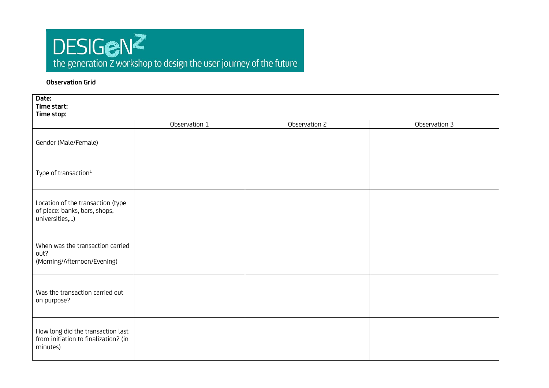# DESIGENZ<br>the generation Z workshop to design the user journey of the future

#### **Observation Grid**

| Date:<br>Time start:<br>Time stop:                                                    |               |               |               |  |
|---------------------------------------------------------------------------------------|---------------|---------------|---------------|--|
|                                                                                       | Observation 1 | Observation 2 | Observation 3 |  |
| Gender (Male/Female)                                                                  |               |               |               |  |
| Type of transaction <sup>1</sup>                                                      |               |               |               |  |
| Location of the transaction (type<br>of place: banks, bars, shops,<br>universities,)  |               |               |               |  |
| When was the transaction carried<br>out?<br>(Morning/Afternoon/Evening)               |               |               |               |  |
| Was the transaction carried out<br>on purpose?                                        |               |               |               |  |
| How long did the transaction last<br>from initiation to finalization? (in<br>minutes) |               |               |               |  |